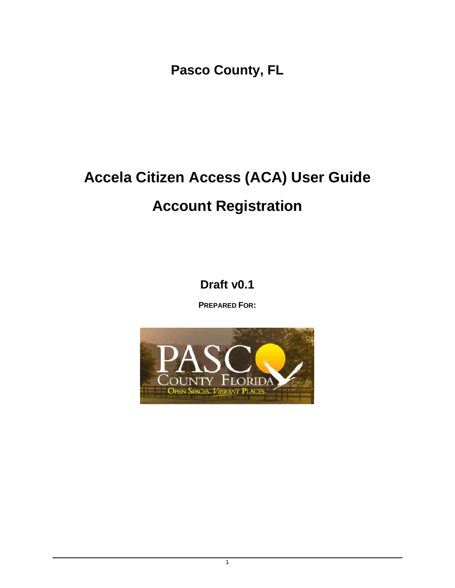**Pasco County, FL**

# **Accela Citizen Access (ACA) User Guide Account Registration**

**Draft v0.1**

**PREPARED FOR:**

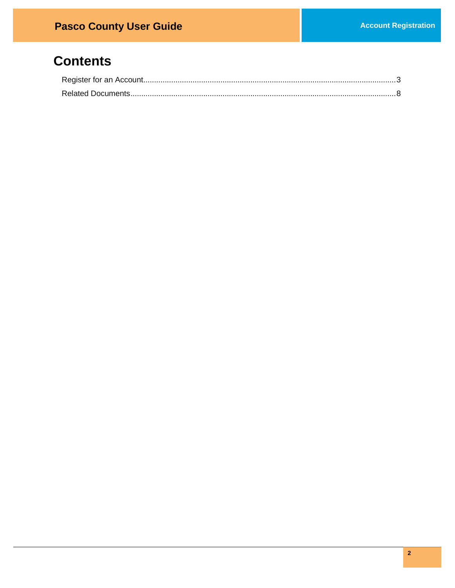## **Contents**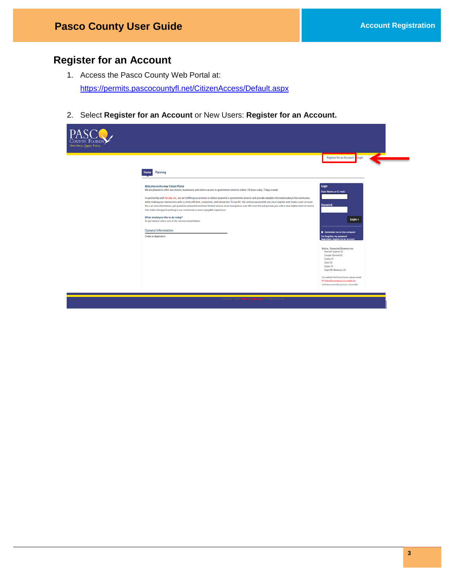### <span id="page-2-0"></span>**Register for an Account**

- 1. Access the Pasco County Web Portal at: <https://permits.pascocountyfl.net/CitizenAccess/Default.aspx>
- 2. Select **Register for an Account** or New Users: **Register for an Account.**

| <b>OVEN SINCES. VIBRANT PLACES.</b> |                                                                                                                                                                                                                                                                                                                                                                                                                                                                                                                                                                                                                                                                                                                                                                                                                                                                                                                                |                                                                                                                                                                                                                                                                |
|-------------------------------------|--------------------------------------------------------------------------------------------------------------------------------------------------------------------------------------------------------------------------------------------------------------------------------------------------------------------------------------------------------------------------------------------------------------------------------------------------------------------------------------------------------------------------------------------------------------------------------------------------------------------------------------------------------------------------------------------------------------------------------------------------------------------------------------------------------------------------------------------------------------------------------------------------------------------------------|----------------------------------------------------------------------------------------------------------------------------------------------------------------------------------------------------------------------------------------------------------------|
|                                     | Planning<br>Home                                                                                                                                                                                                                                                                                                                                                                                                                                                                                                                                                                                                                                                                                                                                                                                                                                                                                                               | Register for an Account Login                                                                                                                                                                                                                                  |
|                                     | Welcome to the new Citizen Portal<br>We are pleased to offer our citizens, businesses, and visitors access to government services online, 24 hours a day, 7 days a week.<br>In partnership with Accela, Inc., we are fulfilling our promise to deliver powerful e-government services and provide valuable information about the community<br>while making your interactions with us more efficient, convenient, and interactive. To use ALL the services we provide you must register and create a user account.<br>You can view information, get questions answered and have limited services as an anonymous user. We trust this will provide you with a new, higher level of service<br>that makes living and working in our community a more enjoyable experience.<br>What would you like to do today?<br>To get started, select one of the services listed below:<br><b>General Information</b><br>Create an Application | Login<br>User Name or E-mail:<br><b>Password:</b><br>Login »<br>Remember me on this computer<br>I've forgotten my password<br>New Users: Register for an Account<br>Notice - Supported Browsers are:<br>Internet Explorer 11<br>Google Chrome 55<br>Firefox 47 |
|                                     |                                                                                                                                                                                                                                                                                                                                                                                                                                                                                                                                                                                                                                                                                                                                                                                                                                                                                                                                | Safari 10<br>Opera 29<br>Edge (MS Windows 10)<br>For website Technical Issues, please email:<br>PCOnlinePermit@pascocountyfl.net<br>and please provide pictures, if possible.                                                                                  |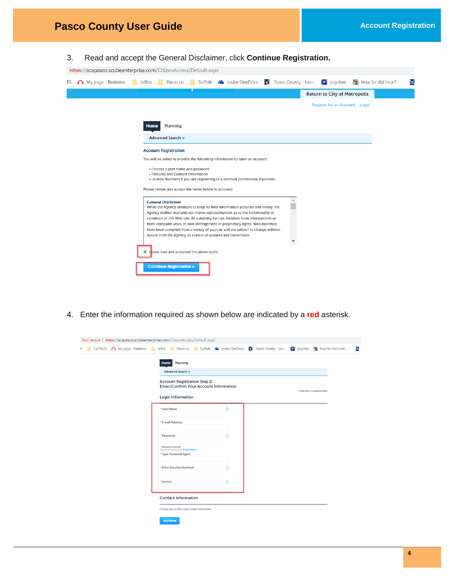3. Read and accept the General Disclaimer, click **Continue Registration.**

| https://acapasco.scubeenterprise.com/CitizenAccess/Default.aspx |  |
|-----------------------------------------------------------------|--|
|                                                                 |  |

| ES | My page - Redmine | $\Box$ Jeffco<br>Suffolk Coscube OneDrive<br>Pasco County - Issue<br>$\left  \mathbf{P} \right $ paychex<br>$\bullet$ How far did I run? - $\subset$<br>Pasco co<br>$\approx$                                                                                                                                                                                                                                                                                                                                          |
|----|-------------------|------------------------------------------------------------------------------------------------------------------------------------------------------------------------------------------------------------------------------------------------------------------------------------------------------------------------------------------------------------------------------------------------------------------------------------------------------------------------------------------------------------------------|
|    |                   | <b>Return to City of Metropolis</b>                                                                                                                                                                                                                                                                                                                                                                                                                                                                                    |
|    |                   | <b>Register for an Account</b> Login                                                                                                                                                                                                                                                                                                                                                                                                                                                                                   |
|    |                   |                                                                                                                                                                                                                                                                                                                                                                                                                                                                                                                        |
|    |                   | <b>Planning</b><br>Home                                                                                                                                                                                                                                                                                                                                                                                                                                                                                                |
|    |                   | Advanced Search v                                                                                                                                                                                                                                                                                                                                                                                                                                                                                                      |
|    |                   | <b>Account Registration</b>                                                                                                                                                                                                                                                                                                                                                                                                                                                                                            |
|    |                   | You will be asked to provide the following information to open an account:                                                                                                                                                                                                                                                                                                                                                                                                                                             |
|    |                   | . Choose a user name and password<br>• Personal and Contact Information<br>• License Numbers if you are registering as a licensed professional (optional)                                                                                                                                                                                                                                                                                                                                                              |
|    |                   | Please review and accept the terms below to proceed.                                                                                                                                                                                                                                                                                                                                                                                                                                                                   |
|    |                   | <b>General Disclaimer</b><br>While the Agency attempts to keep its Web information accurate and timely, the<br>Agency neither warrants nor makes representations as to the functionality or<br>condition of this Web site, its suitability for use, freedom from interruptions or<br>from computer virus, or non-infringement of proprietary rights. Web materials<br>have been compiled from a variety of sources and are subject to change without<br>notice from the Agency as a result of updates and corrections. |
|    |                   | have read and accepted the above terms.                                                                                                                                                                                                                                                                                                                                                                                                                                                                                |
|    |                   | <b>Continue Registration »</b>                                                                                                                                                                                                                                                                                                                                                                                                                                                                                         |

4. Enter the information required as shown below are indicated by a **red** asterisk.

| <b>Call TREES</b> A My page - Redmine <b>Reserve A Section</b> Pasco co <b>Reserve A</b> Scube OneDrive <b>A</b> Pasco County - Issue |                                                                                      |             |                               | <b>P</b> paychex $\bullet$ How far did I run? - $\circ$ |
|---------------------------------------------------------------------------------------------------------------------------------------|--------------------------------------------------------------------------------------|-------------|-------------------------------|---------------------------------------------------------|
|                                                                                                                                       | <b>Planning</b><br><b>Home</b>                                                       |             |                               |                                                         |
|                                                                                                                                       | Advanced Search v                                                                    |             |                               |                                                         |
|                                                                                                                                       | <b>Account Registration Step 2:</b><br><b>Enter/Confirm Your Account Information</b> |             | * indicates a required field. |                                                         |
|                                                                                                                                       | <b>Login Information</b>                                                             |             |                               |                                                         |
|                                                                                                                                       | *User Name:                                                                          | $\odot$     |                               |                                                         |
|                                                                                                                                       | * E-mail Address:                                                                    |             |                               |                                                         |
|                                                                                                                                       | *Password:                                                                           | ര           |                               |                                                         |
|                                                                                                                                       | Password Strength<br><b>Requirements</b><br>* Type Password Again:                   |             |                               |                                                         |
|                                                                                                                                       | * Enter Security Question:                                                           | $\circledR$ |                               |                                                         |
|                                                                                                                                       | *Answer:                                                                             | $^{\circ}$  |                               |                                                         |
|                                                                                                                                       | <b>Contact Information</b>                                                           |             |                               |                                                         |
|                                                                                                                                       | Choose how to fill in your contact information.                                      |             |                               |                                                         |
|                                                                                                                                       |                                                                                      |             |                               |                                                         |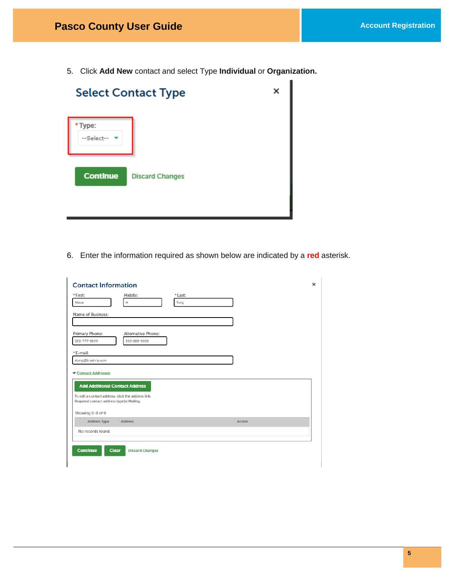5. Click **Add New** contact and select Type **Individual** or **Organization.**

à.

|                     | <b>Select Contact Type</b> | × |
|---------------------|----------------------------|---|
| Type:<br>--Select-- |                            |   |
| <b>Continue</b>     | <b>Discard Changes</b>     |   |
|                     |                            |   |

6. Enter the information required as shown below are indicated by a **red** asterisk.

| <b>Contact Information</b>                                                                      |                                    |                 |        | $\times$ |
|-------------------------------------------------------------------------------------------------|------------------------------------|-----------------|--------|----------|
| * First:<br>Steve                                                                               | Middle:<br>н                       | * Last:<br>Tong |        |          |
| Name of Business:                                                                               |                                    |                 |        |          |
| Primary Phone:<br>555-777-8899                                                                  | Alternative Phone:<br>555-888-9009 |                 |        |          |
| *E-mail:<br>stong@trustvip.com                                                                  |                                    |                 |        |          |
| Contact Addresses                                                                               |                                    |                 |        |          |
| <b>Add Additional Contact Address</b>                                                           |                                    |                 |        |          |
| To edit a contact address, click the address link.<br>Required contact address type(s): Mailing |                                    |                 |        |          |
| Showing 0-0 of 0                                                                                |                                    |                 |        |          |
| <b>Address Type</b>                                                                             | Address                            |                 | Action |          |
| No records found.                                                                               |                                    |                 |        |          |
| <b>Continue</b><br><b>Clear</b>                                                                 | <b>Discard Changes</b>             |                 |        |          |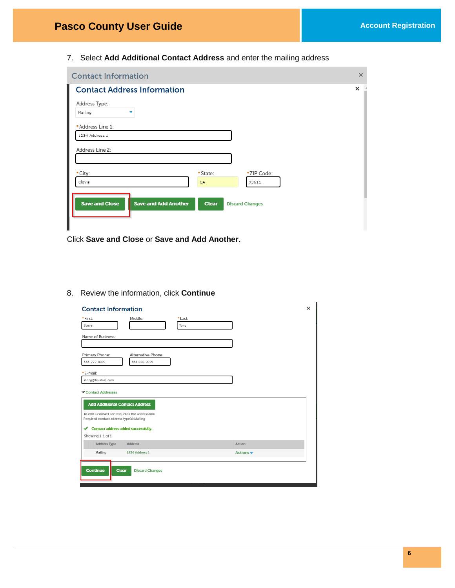7. Select **Add Additional Contact Address** and enter the mailing address

| <b>Contact Information</b>                           |              | $\times$               |
|------------------------------------------------------|--------------|------------------------|
| I<br><b>Contact Address Information</b>              |              | ×                      |
| Address Type:                                        |              |                        |
| Mailing                                              |              |                        |
| * Address Line 1:                                    |              |                        |
| 1234 Address 1                                       |              |                        |
| Address Line 2:                                      |              |                        |
|                                                      |              |                        |
| * City:                                              | * State:     | *ZIP Code:             |
| Clovis                                               | CA           | 93611-                 |
|                                                      |              |                        |
| <b>Save and Close</b><br><b>Save and Add Another</b> | <b>Clear</b> | <b>Discard Changes</b> |
|                                                      |              |                        |
|                                                      |              |                        |

Click **Save and Close** or **Save and Add Another.**

#### 8. Review the information, click **Continue**

| <b>Contact Information</b>                                                                                                                                    |                                        |                 |                              | $\times$ |
|---------------------------------------------------------------------------------------------------------------------------------------------------------------|----------------------------------------|-----------------|------------------------------|----------|
| * First:<br>Steve                                                                                                                                             | Middle:                                | * Last:<br>Tong |                              |          |
| Name of Business:                                                                                                                                             |                                        |                 |                              |          |
| Primary Phone:<br>555-777-8899                                                                                                                                | Alternative Phone:<br>555-888-9009     |                 |                              |          |
| *E-mail:<br>stong@trustvip.com                                                                                                                                |                                        |                 |                              |          |
| Contact Addresses<br><b>Add Additional Contact Address</b><br>To edit a contact address, click the address link,<br>Required contact address type(s): Mailing |                                        |                 |                              |          |
| ✔<br>Showing 1-1 of 1                                                                                                                                         | Contact address added successfully.    |                 |                              |          |
| <b>Address Type</b>                                                                                                                                           | <b>Address</b>                         |                 | Action                       |          |
| Mailing                                                                                                                                                       | 1234 Address 1                         |                 | Actions $\blacktriangledown$ |          |
| <b>Continue</b>                                                                                                                                               | <b>Clear</b><br><b>Discard Changes</b> |                 |                              |          |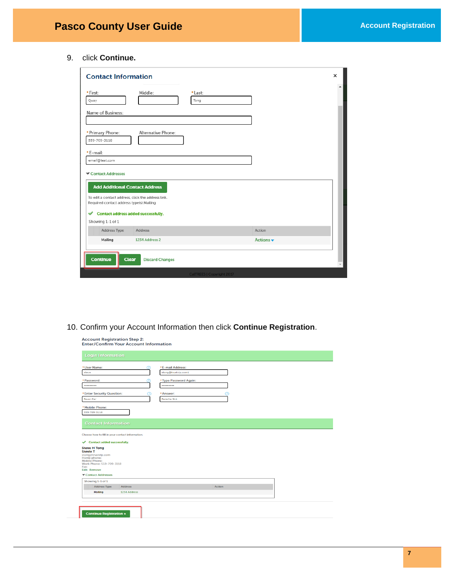9. click **Continue.**

| <b>Contact Information</b>                                                                      |                        |                                  |                              | × |
|-------------------------------------------------------------------------------------------------|------------------------|----------------------------------|------------------------------|---|
| * First:<br>Quay                                                                                | Middle:                | * Last:<br>Tong                  |                              |   |
| Name of Business:                                                                               |                        |                                  |                              |   |
| * Primary Phone:<br>559-709-3118                                                                | Alternative Phone:     |                                  |                              |   |
| *E-mail:<br>email@test.com                                                                      |                        |                                  |                              |   |
| Contact Addresses<br><b>Add Additional Contact Address</b>                                      |                        |                                  |                              |   |
| To edit a contact address, click the address link.<br>Required contact address type(s): Mailing |                        |                                  |                              |   |
| Contact address added successfully.<br>✔<br>Showing 1-1 of 1                                    |                        |                                  |                              |   |
| <b>Address Type</b>                                                                             | Address                |                                  | Action                       |   |
| Mailing                                                                                         | 1234 Address 2         |                                  | Actions $\blacktriangledown$ |   |
| <b>Continue</b><br><b>Clear</b>                                                                 | <b>Discard Changes</b> |                                  |                              |   |
|                                                                                                 |                        | <b>CalTREES   Copyright 2017</b> |                              |   |

10. Confirm your Account Information then click **Continue Registration**.

Account Registration Step 2:<br>Enter/Confirm Your Account Information

| * User Name:                                                                                                                                                                                                                                                | σ              |   | * E-mail Address:     |               |  |  |
|-------------------------------------------------------------------------------------------------------------------------------------------------------------------------------------------------------------------------------------------------------------|----------------|---|-----------------------|---------------|--|--|
| steve                                                                                                                                                                                                                                                       |                |   | stong@trustvip.com1   |               |  |  |
| * Password:                                                                                                                                                                                                                                                 |                |   | *Type Password Again: |               |  |  |
|                                                                                                                                                                                                                                                             |                |   |                       |               |  |  |
| * Enter Security Question:                                                                                                                                                                                                                                  |                | റ | *Answer:              |               |  |  |
| <b>Favor Car</b>                                                                                                                                                                                                                                            |                |   | Porsche 911           |               |  |  |
| *Mobile Phone:                                                                                                                                                                                                                                              |                |   |                       |               |  |  |
| 559-709-3118                                                                                                                                                                                                                                                |                |   |                       |               |  |  |
| <b>Contact Information</b>                                                                                                                                                                                                                                  |                |   |                       |               |  |  |
| Choose how to fill in your contact information.<br><b>Contact added successfully.</b><br>✔<br><b>Steve H Tong</b><br><b>Stevie T</b><br>stong@trustvip.com<br>Home phone:<br><b>Mobile Phone:</b><br>Work Phone: 559-709-3118<br>Fax:<br><b>Edit Remove</b> |                |   |                       |               |  |  |
| Contact Addresses                                                                                                                                                                                                                                           |                |   |                       |               |  |  |
| Showing 1-1 of 1<br><b>Address Type</b>                                                                                                                                                                                                                     | <b>Address</b> |   |                       | <b>Action</b> |  |  |